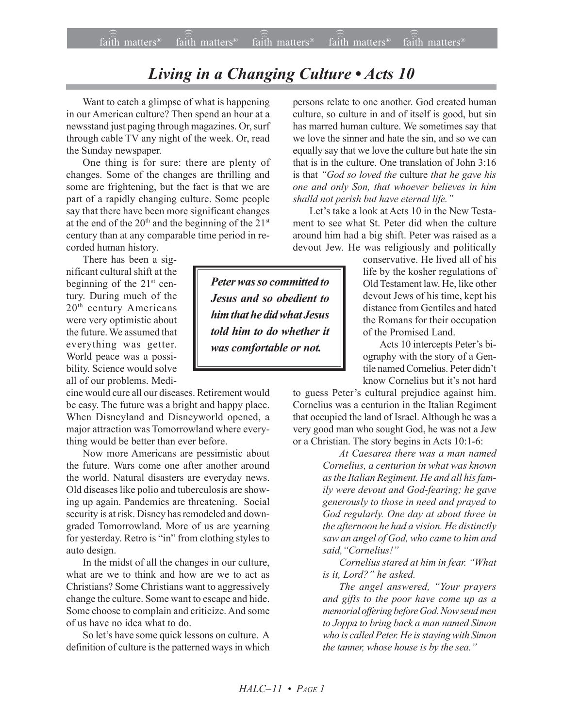## **Living in a Changing Culture • Acts 10**

Want to catch a glimpse of what is happening in our American culture? Then spend an hour at a newsstand just paging through magazines. Or, surf through cable TV any night of the week. Or, read the Sunday newspaper.

One thing is for sure: there are plenty of changes. Some of the changes are thrilling and some are frightening, but the fact is that we are part of a rapidly changing culture. Some people say that there have been more significant changes at the end of the  $20<sup>th</sup>$  and the beginning of the  $21<sup>st</sup>$ century than at any comparable time period in recorded human history.

There has been a significant cultural shift at the beginning of the  $21<sup>st</sup>$  century. During much of the 20th century Americans were very optimistic about the future. We assumed that everything was getter. World peace was a possibility. Science would solve all of our problems. Medi-

cine would cure all our diseases. Retirement would be easy. The future was a bright and happy place. When Disneyland and Disneyworld opened, a major attraction was Tomorrowland where everything would be better than ever before.

Now more Americans are pessimistic about the future. Wars come one after another around the world. Natural disasters are everyday news. Old diseases like polio and tuberculosis are showing up again. Pandemics are threatening. Social security is at risk. Disney has remodeled and downgraded Tomorrowland. More of us are yearning for yesterday. Retro is "in" from clothing styles to auto design.

In the midst of all the changes in our culture, what are we to think and how are we to act as Christians? Some Christians want to aggressively change the culture. Some want to escape and hide. Some choose to complain and criticize. And some of us have no idea what to do.

So let's have some quick lessons on culture. A definition of culture is the patterned ways in which has marred human culture. We sometimes say that we love the sinner and hate the sin, and so we can equally say that we love the culture but hate the sin that is in the culture. One translation of John 3:16 is that *ìGod so loved the* culture *that he gave his one and only Son, that whoever believes in him shalld not perish but have eternal life.î* Let's take a look at Acts 10 in the New Testa-

persons relate to one another. God created human culture, so culture in and of itself is good, but sin

ment to see what St. Peter did when the culture around him had a big shift. Peter was raised as a devout Jew. He was religiously and politically

conservative. He lived all of his life by the kosher regulations of Old Testament law. He, like other devout Jews of his time, kept his distance from Gentiles and hated the Romans for their occupation of the Promised Land.

Acts 10 intercepts Peter's biography with the story of a Gentile named Cornelius. Peter didn't know Cornelius but it's not hard

to guess Peter's cultural prejudice against him. Cornelius was a centurion in the Italian Regiment that occupied the land of Israel. Although he was a very good man who sought God, he was not a Jew or a Christian. The story begins in Acts 10:1-6:

> *At Caesarea there was a man named Cornelius, a centurion in what was known as the Italian Regiment. He and all his family were devout and God-fearing; he gave generously to those in need and prayed to God regularly. One day at about three in the afternoon he had a vision. He distinctly saw an angel of God, who came to him and* said.<sup>"</sup>Cornelius!"

> *Cornelius stared at him in fear.* "What *is it, Lord?*" he asked.

> *The angel answered, "Your prayers and gifts to the poor have come up as a memorial offering before God. Now send men to Joppa to bring back a man named Simon who is called Peter. He is staying with Simon the tanner, whose house is by the sea.*"

*Peter was so committed to Jesus and so obedient to him that he did what Jesus told him to do whether it was comfortable or not.*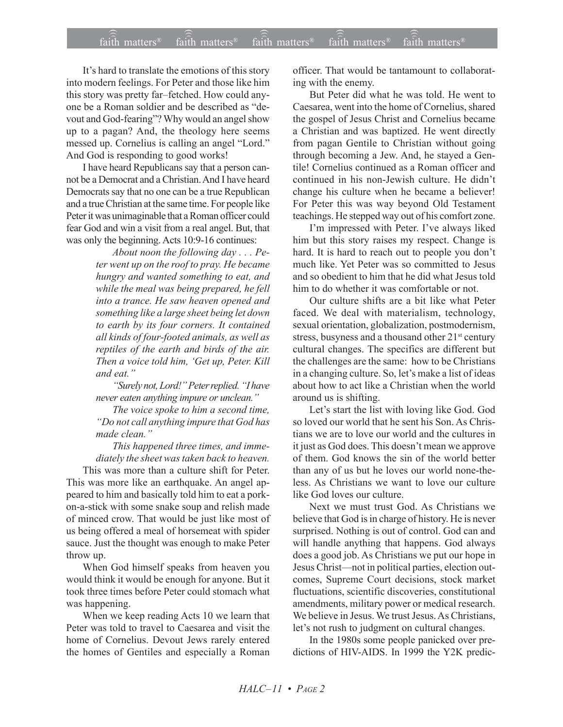It's hard to translate the emotions of this story into modern feelings. For Peter and those like him this story was pretty far-fetched. How could anyone be a Roman soldier and be described as "devout and God-fearing"? Why would an angel show up to a pagan? And, the theology here seems messed up. Cornelius is calling an angel "Lord." And God is responding to good works!

I have heard Republicans say that a person cannot be a Democrat and a Christian. And I have heard Democrats say that no one can be a true Republican and a true Christian at the same time. For people like Peter it was unimaginable that a Roman officer could fear God and win a visit from a real angel. But, that was only the beginning. Acts 10:9-16 continues:

> *About noon the following day . . . Peter went up on the roof to pray. He became hungry and wanted something to eat, and while the meal was being prepared, he fell into a trance. He saw heaven opened and something like a large sheet being let down to earth by its four corners. It contained all kinds of four-footed animals, as well as reptiles of the earth and birds of the air. Then a voice told him, ëGet up, Peter. Kill and eat.î*

> *ìSurely not, Lord!î Peter replied. ìI have never eaten anything impure or unclean.*"

> *The voice spoke to him a second time, ìDo not call anything impure that God has* made clean.<sup>"</sup>

*This happened three times, and immediately the sheet was taken back to heaven.*

This was more than a culture shift for Peter. This was more like an earthquake. An angel appeared to him and basically told him to eat a porkon-a-stick with some snake soup and relish made of minced crow. That would be just like most of us being offered a meal of horsemeat with spider sauce. Just the thought was enough to make Peter throw up.

When God himself speaks from heaven you would think it would be enough for anyone. But it took three times before Peter could stomach what was happening.

When we keep reading Acts 10 we learn that Peter was told to travel to Caesarea and visit the home of Cornelius. Devout Jews rarely entered the homes of Gentiles and especially a Roman officer. That would be tantamount to collaborating with the enemy.

But Peter did what he was told. He went to Caesarea, went into the home of Cornelius, shared the gospel of Jesus Christ and Cornelius became a Christian and was baptized. He went directly from pagan Gentile to Christian without going through becoming a Jew. And, he stayed a Gentile! Cornelius continued as a Roman officer and continued in his non-Jewish culture. He didn't change his culture when he became a believer! For Peter this was way beyond Old Testament teachings. He stepped way out of his comfort zone.

I'm impressed with Peter. I've always liked him but this story raises my respect. Change is hard. It is hard to reach out to people you don't much like. Yet Peter was so committed to Jesus and so obedient to him that he did what Jesus told him to do whether it was comfortable or not.

Our culture shifts are a bit like what Peter faced. We deal with materialism, technology, sexual orientation, globalization, postmodernism, stress, busyness and a thousand other 21<sup>st</sup> century cultural changes. The specifics are different but the challenges are the same: how to be Christians in a changing culture. So, let's make a list of ideas about how to act like a Christian when the world around us is shifting.

Let's start the list with loving like God. God so loved our world that he sent his Son. As Christians we are to love our world and the cultures in it just as God does. This doesn't mean we approve of them. God knows the sin of the world better than any of us but he loves our world none-theless. As Christians we want to love our culture like God loves our culture.

Next we must trust God. As Christians we believe that God is in charge of history. He is never surprised. Nothing is out of control. God can and will handle anything that happens. God always does a good job. As Christians we put our hope in Jesus Christ—not in political parties, election outcomes, Supreme Court decisions, stock market fluctuations, scientific discoveries, constitutional amendments, military power or medical research. We believe in Jesus. We trust Jesus. As Christians, let's not rush to judgment on cultural changes.

In the 1980s some people panicked over predictions of HIV-AIDS. In 1999 the Y2K predic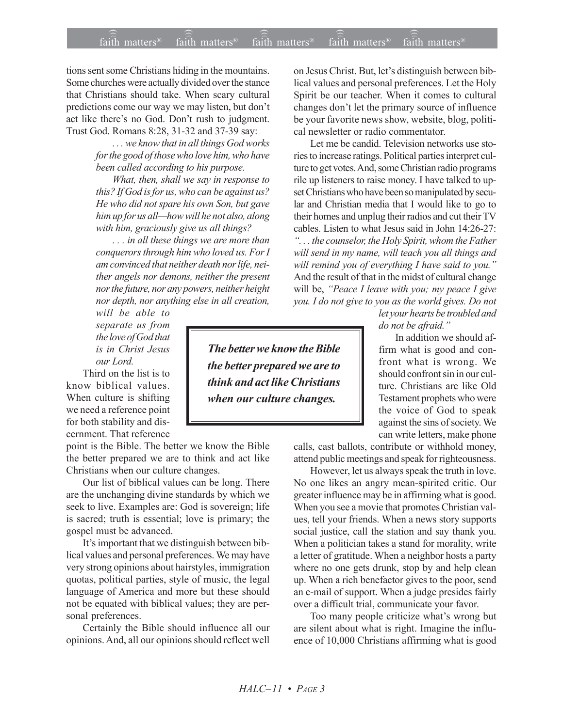tions sent some Christians hiding in the mountains. Some churches were actually divided over the stance that Christians should take. When scary cultural predictions come our way we may listen, but don't act like there's no God. Don't rush to judgment. Trust God. Romans 8:28, 31-32 and 37-39 say:

> *. . . we know that in all things God works for the good of those who love him, who have been called according to his purpose.*

*What, then, shall we say in response to this? If God is for us, who can be against us? He who did not spare his own Son, but gave* him up for us all—how will he not also, along *with him, graciously give us all things?*

*. . . in all these things we are more than conquerors through him who loved us. For I am convinced that neither death nor life, neither angels nor demons, neither the present nor the future, nor any powers, neither height nor depth, nor anything else in all creation,*

*will be able to separate us from the love of God that is in Christ Jesus our Lord.*

Third on the list is to know biblical values. When culture is shifting we need a reference point for both stability and discernment. That reference

point is the Bible. The better we know the Bible the better prepared we are to think and act like Christians when our culture changes.

Our list of biblical values can be long. There are the unchanging divine standards by which we seek to live. Examples are: God is sovereign; life is sacred; truth is essential; love is primary; the gospel must be advanced.

It's important that we distinguish between biblical values and personal preferences. We may have very strong opinions about hairstyles, immigration quotas, political parties, style of music, the legal language of America and more but these should not be equated with biblical values; they are personal preferences.

Certainly the Bible should influence all our opinions. And, all our opinions should reflect well on Jesus Christ. But, let's distinguish between biblical values and personal preferences. Let the Holy Spirit be our teacher. When it comes to cultural changes don't let the primary source of influence be your favorite news show, website, blog, political newsletter or radio commentator.

Let me be candid. Television networks use stories to increase ratings. Political parties interpret culture to get votes. And, some Christian radio programs rile up listeners to raise money. I have talked to upset Christians who have been so manipulated by secular and Christian media that I would like to go to their homes and unplug their radios and cut their TV cables. Listen to what Jesus said in John 14:26-27: *ì. . . the counselor, the Holy Spirit, whom the Father will send in my name, will teach you all things and* will remind you of everything I have said to you.<sup>"</sup> And the result of that in the midst of cultural change will be, *''Peace I leave with you; my peace I give you. I do not give to you as the world gives. Do not*

> *let your hearts be troubled and* do not be afraid.<sup>"</sup>

In addition we should affirm what is good and confront what is wrong. We should confront sin in our culture. Christians are like Old Testament prophets who were the voice of God to speak against the sins of society. We can write letters, make phone

calls, cast ballots, contribute or withhold money, attend public meetings and speak for righteousness.

However, let us always speak the truth in love. No one likes an angry mean-spirited critic. Our greater influence may be in affirming what is good. When you see a movie that promotes Christian values, tell your friends. When a news story supports social justice, call the station and say thank you. When a politician takes a stand for morality, write a letter of gratitude. When a neighbor hosts a party where no one gets drunk, stop by and help clean up. When a rich benefactor gives to the poor, send an e-mail of support. When a judge presides fairly over a difficult trial, communicate your favor.

Too many people criticize what's wrong but are silent about what is right. Imagine the influence of 10,000 Christians affirming what is good

*The better we know the Bible the better prepared we are to think and act like Christians when our culture changes.*